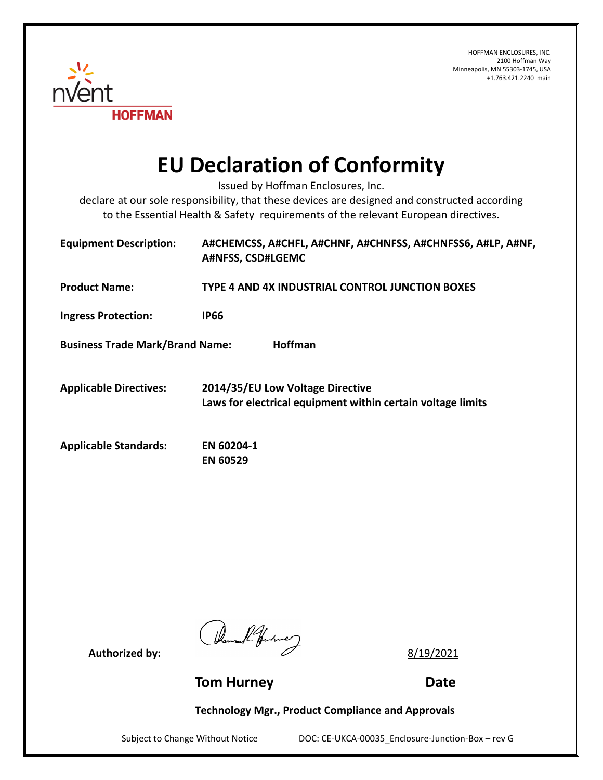HOFFMAN ENCLOSURES, INC. 2100 Hoffman Way Minneapolis, MN 55303-1745, USA +1.763.421.2240 main



## **EU Declaration of Conformity**

Issued by Hoffman Enclosures, Inc.

declare at our sole responsibility, that these devices are designed and constructed according to the Essential Health & Safety requirements of the relevant European directives.

| <b>Equipment Description:</b>                            | A#CHEMCSS, A#CHFL, A#CHNF, A#CHNFSS, A#CHNFSS6, A#LP, A#NF,<br>A#NFSS, CSD#LGEMC                |
|----------------------------------------------------------|-------------------------------------------------------------------------------------------------|
| <b>Product Name:</b>                                     | TYPE 4 AND 4X INDUSTRIAL CONTROL JUNCTION BOXES                                                 |
| <b>Ingress Protection:</b>                               | <b>IP66</b>                                                                                     |
| <b>Hoffman</b><br><b>Business Trade Mark/Brand Name:</b> |                                                                                                 |
| <b>Applicable Directives:</b>                            | 2014/35/EU Low Voltage Directive<br>Laws for electrical equipment within certain voltage limits |
| <b>Applicable Standards:</b>                             | EN 60204-1<br><b>EN 60529</b>                                                                   |

Authorized by:  $\frac{14}{4}$  for the 2<br>**Authorized by:** <u>8/19/2021</u>

**Tom Hurney Communication Communication Communication Communication Communication Communication Communication Communication Communication Communication Communication Communication Communication Communication Communication** 

**Technology Mgr., Product Compliance and Approvals**

Subject to Change Without Notice DOC: CE-UKCA-00035\_Enclosure-Junction-Box – rev G